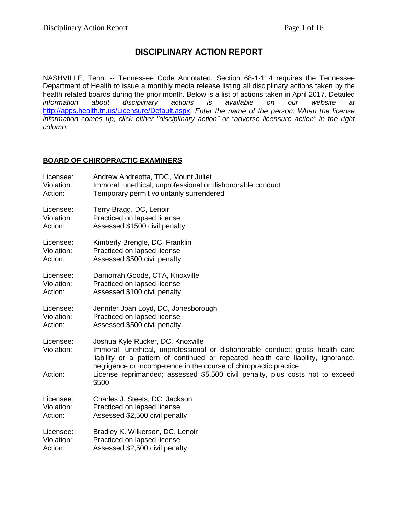# **DISCIPLINARY ACTION REPORT**

NASHVILLE, Tenn. -- Tennessee Code Annotated, Section 68-1-114 requires the Tennessee Department of Health to issue a monthly media release listing all disciplinary actions taken by the health related boards during the prior month. Below is a list of actions taken in April 2017. Detailed *information* about disciplinary actions is available on our website at disciplinary actions is available on our website at <http://apps.health.tn.us/Licensure/Default.aspx>*. Enter the name of the person. When the license information comes up, click either "disciplinary action" or "adverse licensure action" in the right column.*

### **BOARD OF CHIROPRACTIC EXAMINERS**

| Licensee:                          | Andrew Andreotta, TDC, Mount Juliet                                                                                                                                                                                                                                                                                                                           |
|------------------------------------|---------------------------------------------------------------------------------------------------------------------------------------------------------------------------------------------------------------------------------------------------------------------------------------------------------------------------------------------------------------|
| Violation:                         | Immoral, unethical, unprofessional or dishonorable conduct                                                                                                                                                                                                                                                                                                    |
| Action:                            | Temporary permit voluntarily surrendered                                                                                                                                                                                                                                                                                                                      |
| Licensee:                          | Terry Bragg, DC, Lenoir                                                                                                                                                                                                                                                                                                                                       |
| Violation:                         | Practiced on lapsed license                                                                                                                                                                                                                                                                                                                                   |
| Action:                            | Assessed \$1500 civil penalty                                                                                                                                                                                                                                                                                                                                 |
| Licensee:                          | Kimberly Brengle, DC, Franklin                                                                                                                                                                                                                                                                                                                                |
| Violation:                         | Practiced on lapsed license                                                                                                                                                                                                                                                                                                                                   |
| Action:                            | Assessed \$500 civil penalty                                                                                                                                                                                                                                                                                                                                  |
| Licensee:                          | Damorrah Goode, CTA, Knoxville                                                                                                                                                                                                                                                                                                                                |
| Violation:                         | Practiced on lapsed license                                                                                                                                                                                                                                                                                                                                   |
| Action:                            | Assessed \$100 civil penalty                                                                                                                                                                                                                                                                                                                                  |
| Licensee:                          | Jennifer Joan Loyd, DC, Jonesborough                                                                                                                                                                                                                                                                                                                          |
| Violation:                         | Practiced on lapsed license                                                                                                                                                                                                                                                                                                                                   |
| Action:                            | Assessed \$500 civil penalty                                                                                                                                                                                                                                                                                                                                  |
| Licensee:<br>Violation:<br>Action: | Joshua Kyle Rucker, DC, Knoxville<br>Immoral, unethical, unprofessional or dishonorable conduct; gross health care<br>liability or a pattern of continued or repeated health care liability, ignorance,<br>negligence or incompetence in the course of chiropractic practice<br>License reprimanded; assessed \$5,500 civil penalty, plus costs not to exceed |
|                                    | \$500                                                                                                                                                                                                                                                                                                                                                         |
| Licensee:                          | Charles J. Steets, DC, Jackson                                                                                                                                                                                                                                                                                                                                |
| Violation:                         | Practiced on lapsed license                                                                                                                                                                                                                                                                                                                                   |
| Action:                            | Assessed \$2,500 civil penalty                                                                                                                                                                                                                                                                                                                                |
| Licensee:                          | Bradley K. Wilkerson, DC, Lenoir                                                                                                                                                                                                                                                                                                                              |
| Violation:                         | Practiced on lapsed license                                                                                                                                                                                                                                                                                                                                   |
| Action:                            | Assessed \$2,500 civil penalty                                                                                                                                                                                                                                                                                                                                |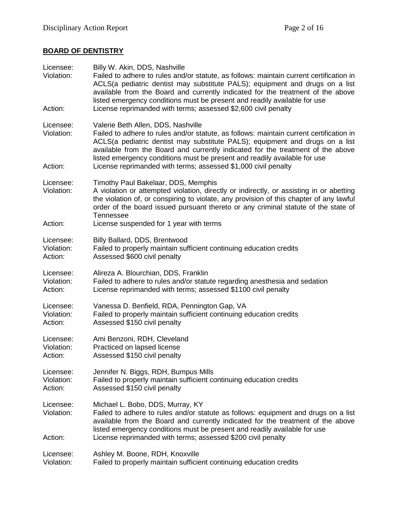# **BOARD OF DENTISTRY**

| Licensee:<br>Violation:<br>Action: | Billy W. Akin, DDS, Nashville<br>Failed to adhere to rules and/or statute, as follows: maintain current certification in<br>ACLS(a pediatric dentist may substitute PALS); equipment and drugs on a list<br>available from the Board and currently indicated for the treatment of the above<br>listed emergency conditions must be present and readily available for use<br>License reprimanded with terms; assessed \$2,600 civil penalty      |
|------------------------------------|-------------------------------------------------------------------------------------------------------------------------------------------------------------------------------------------------------------------------------------------------------------------------------------------------------------------------------------------------------------------------------------------------------------------------------------------------|
| Licensee:<br>Violation:<br>Action: | Valerie Beth Allen, DDS, Nashville<br>Failed to adhere to rules and/or statute, as follows: maintain current certification in<br>ACLS(a pediatric dentist may substitute PALS); equipment and drugs on a list<br>available from the Board and currently indicated for the treatment of the above<br>listed emergency conditions must be present and readily available for use<br>License reprimanded with terms; assessed \$1,000 civil penalty |
| Licensee:<br>Violation:<br>Action: | Timothy Paul Bakelaar, DDS, Memphis<br>A violation or attempted violation, directly or indirectly, or assisting in or abetting<br>the violation of, or conspiring to violate, any provision of this chapter of any lawful<br>order of the board issued pursuant thereto or any criminal statute of the state of<br>Tennessee<br>License suspended for 1 year with terms                                                                         |
| Licensee:                          | Billy Ballard, DDS, Brentwood                                                                                                                                                                                                                                                                                                                                                                                                                   |
| Violation:                         | Failed to properly maintain sufficient continuing education credits                                                                                                                                                                                                                                                                                                                                                                             |
| Action:                            | Assessed \$600 civil penalty                                                                                                                                                                                                                                                                                                                                                                                                                    |
| Licensee:                          | Alireza A. Blourchian, DDS, Franklin                                                                                                                                                                                                                                                                                                                                                                                                            |
| Violation:                         | Failed to adhere to rules and/or statute regarding anesthesia and sedation                                                                                                                                                                                                                                                                                                                                                                      |
| Action:                            | License reprimanded with terms; assessed \$1100 civil penalty                                                                                                                                                                                                                                                                                                                                                                                   |
| Licensee:                          | Vanessa D. Benfield, RDA, Pennington Gap, VA                                                                                                                                                                                                                                                                                                                                                                                                    |
| Violation:                         | Failed to properly maintain sufficient continuing education credits                                                                                                                                                                                                                                                                                                                                                                             |
| Action:                            | Assessed \$150 civil penalty                                                                                                                                                                                                                                                                                                                                                                                                                    |
| Licensee:                          | Ami Benzoni, RDH, Cleveland                                                                                                                                                                                                                                                                                                                                                                                                                     |
| Violation:                         | Practiced on lapsed license                                                                                                                                                                                                                                                                                                                                                                                                                     |
| Action:                            | Assessed \$150 civil penalty                                                                                                                                                                                                                                                                                                                                                                                                                    |
| Licensee:                          | Jennifer N. Biggs, RDH, Bumpus Mills                                                                                                                                                                                                                                                                                                                                                                                                            |
| Violation:                         | Failed to properly maintain sufficient continuing education credits                                                                                                                                                                                                                                                                                                                                                                             |
| Action:                            | Assessed \$150 civil penalty                                                                                                                                                                                                                                                                                                                                                                                                                    |
| Licensee:<br>Violation:<br>Action: | Michael L. Bobo, DDS, Murray, KY<br>Failed to adhere to rules and/or statute as follows: equipment and drugs on a list<br>available from the Board and currently indicated for the treatment of the above<br>listed emergency conditions must be present and readily available for use<br>License reprimanded with terms; assessed \$200 civil penalty                                                                                          |
| Licensee:                          | Ashley M. Boone, RDH, Knoxville                                                                                                                                                                                                                                                                                                                                                                                                                 |
| Violation:                         | Failed to properly maintain sufficient continuing education credits                                                                                                                                                                                                                                                                                                                                                                             |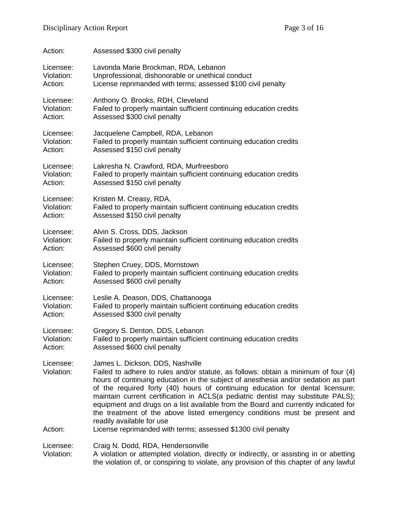| Action:                 | Assessed \$300 civil penalty                                                                                                                                                                                                                                                                                                                                                                                                                                                                                                                                                        |
|-------------------------|-------------------------------------------------------------------------------------------------------------------------------------------------------------------------------------------------------------------------------------------------------------------------------------------------------------------------------------------------------------------------------------------------------------------------------------------------------------------------------------------------------------------------------------------------------------------------------------|
| Licensee:               | Lavonda Marie Brockman, RDA, Lebanon                                                                                                                                                                                                                                                                                                                                                                                                                                                                                                                                                |
| Violation:              | Unprofessional, dishonorable or unethical conduct                                                                                                                                                                                                                                                                                                                                                                                                                                                                                                                                   |
| Action:                 | License reprimanded with terms; assessed \$100 civil penalty                                                                                                                                                                                                                                                                                                                                                                                                                                                                                                                        |
| Licensee:               | Anthony O. Brooks, RDH, Cleveland                                                                                                                                                                                                                                                                                                                                                                                                                                                                                                                                                   |
| Violation:              | Failed to properly maintain sufficient continuing education credits                                                                                                                                                                                                                                                                                                                                                                                                                                                                                                                 |
| Action:                 | Assessed \$300 civil penalty                                                                                                                                                                                                                                                                                                                                                                                                                                                                                                                                                        |
| Licensee:               | Jacquelene Campbell, RDA, Lebanon                                                                                                                                                                                                                                                                                                                                                                                                                                                                                                                                                   |
| Violation:              | Failed to properly maintain sufficient continuing education credits                                                                                                                                                                                                                                                                                                                                                                                                                                                                                                                 |
| Action:                 | Assessed \$150 civil penalty                                                                                                                                                                                                                                                                                                                                                                                                                                                                                                                                                        |
| Licensee:               | Lakresha N. Crawford, RDA, Murfreesboro                                                                                                                                                                                                                                                                                                                                                                                                                                                                                                                                             |
| Violation:              | Failed to properly maintain sufficient continuing education credits                                                                                                                                                                                                                                                                                                                                                                                                                                                                                                                 |
| Action:                 | Assessed \$150 civil penalty                                                                                                                                                                                                                                                                                                                                                                                                                                                                                                                                                        |
| Licensee:               | Kristen M. Creasy, RDA,                                                                                                                                                                                                                                                                                                                                                                                                                                                                                                                                                             |
| Violation:              | Failed to properly maintain sufficient continuing education credits                                                                                                                                                                                                                                                                                                                                                                                                                                                                                                                 |
| Action:                 | Assessed \$150 civil penalty                                                                                                                                                                                                                                                                                                                                                                                                                                                                                                                                                        |
| Licensee:               | Alvin S. Cross, DDS, Jackson                                                                                                                                                                                                                                                                                                                                                                                                                                                                                                                                                        |
| Violation:              | Failed to properly maintain sufficient continuing education credits                                                                                                                                                                                                                                                                                                                                                                                                                                                                                                                 |
| Action:                 | Assessed \$600 civil penalty                                                                                                                                                                                                                                                                                                                                                                                                                                                                                                                                                        |
| Licensee:               | Stephen Cruey, DDS, Morristown                                                                                                                                                                                                                                                                                                                                                                                                                                                                                                                                                      |
| Violation:              | Failed to properly maintain sufficient continuing education credits                                                                                                                                                                                                                                                                                                                                                                                                                                                                                                                 |
| Action:                 | Assessed \$600 civil penalty                                                                                                                                                                                                                                                                                                                                                                                                                                                                                                                                                        |
| Licensee:               | Leslie A. Deason, DDS, Chattanooga                                                                                                                                                                                                                                                                                                                                                                                                                                                                                                                                                  |
| Violation:              | Failed to properly maintain sufficient continuing education credits                                                                                                                                                                                                                                                                                                                                                                                                                                                                                                                 |
| Action:                 | Assessed \$300 civil penalty                                                                                                                                                                                                                                                                                                                                                                                                                                                                                                                                                        |
| Licensee:               | Gregory S. Denton, DDS, Lebanon                                                                                                                                                                                                                                                                                                                                                                                                                                                                                                                                                     |
| Violation <sup>-</sup>  | Failed to properly maintain sufficient continuing education credits                                                                                                                                                                                                                                                                                                                                                                                                                                                                                                                 |
| Action:                 | Assessed \$600 civil penalty                                                                                                                                                                                                                                                                                                                                                                                                                                                                                                                                                        |
| Licensee:<br>Violation: | James L. Dickson, DDS, Nashville<br>Failed to adhere to rules and/or statute, as follows: obtain a minimum of four (4)<br>hours of continuing education in the subject of anesthesia and/or sedation as part<br>of the required forty (40) hours of continuing education for dental licensure;<br>maintain current certification in ACLS(a pediatric dentist may substitute PALS);<br>equipment and drugs on a list available from the Board and currently indicated for<br>the treatment of the above listed emergency conditions must be present and<br>readily available for use |
| Action:                 | License reprimanded with terms; assessed \$1300 civil penalty                                                                                                                                                                                                                                                                                                                                                                                                                                                                                                                       |
| Licensee:<br>Violation: | Craig N. Dodd, RDA, Hendersonville<br>A violation or attempted violation, directly or indirectly, or assisting in or abetting<br>the violation of, or conspiring to violate, any provision of this chapter of any lawful                                                                                                                                                                                                                                                                                                                                                            |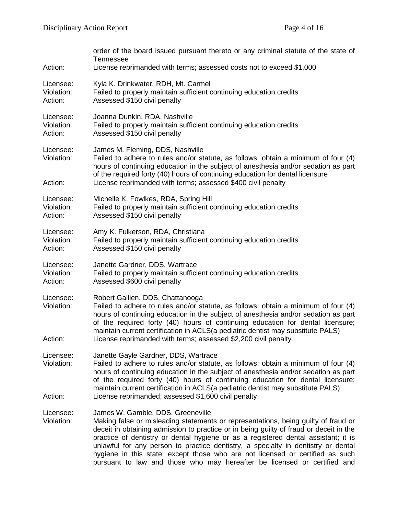| Action:                            | order of the board issued pursuant thereto or any criminal statute of the state of<br>Tennessee<br>License reprimanded with terms; assessed costs not to exceed \$1,000                                                                                                                                                                                                                                                                                                                                                                                   |
|------------------------------------|-----------------------------------------------------------------------------------------------------------------------------------------------------------------------------------------------------------------------------------------------------------------------------------------------------------------------------------------------------------------------------------------------------------------------------------------------------------------------------------------------------------------------------------------------------------|
| Licensee:                          | Kyla K. Drinkwater, RDH, Mt. Carmel                                                                                                                                                                                                                                                                                                                                                                                                                                                                                                                       |
| Violation:                         | Failed to properly maintain sufficient continuing education credits                                                                                                                                                                                                                                                                                                                                                                                                                                                                                       |
| Action:                            | Assessed \$150 civil penalty                                                                                                                                                                                                                                                                                                                                                                                                                                                                                                                              |
| Licensee:                          | Joanna Dunkin, RDA, Nashville                                                                                                                                                                                                                                                                                                                                                                                                                                                                                                                             |
| Violation:                         | Failed to properly maintain sufficient continuing education credits                                                                                                                                                                                                                                                                                                                                                                                                                                                                                       |
| Action:                            | Assessed \$150 civil penalty                                                                                                                                                                                                                                                                                                                                                                                                                                                                                                                              |
| Licensee:<br>Violation:<br>Action: | James M. Fleming, DDS, Nashville<br>Failed to adhere to rules and/or statute, as follows: obtain a minimum of four (4)<br>hours of continuing education in the subject of anesthesia and/or sedation as part<br>of the required forty (40) hours of continuing education for dental licensure<br>License reprimanded with terms; assessed \$400 civil penalty                                                                                                                                                                                             |
| Licensee:                          | Michelle K. Fowlkes, RDA, Spring Hill                                                                                                                                                                                                                                                                                                                                                                                                                                                                                                                     |
| Violation:                         | Failed to properly maintain sufficient continuing education credits                                                                                                                                                                                                                                                                                                                                                                                                                                                                                       |
| Action:                            | Assessed \$150 civil penalty                                                                                                                                                                                                                                                                                                                                                                                                                                                                                                                              |
| Licensee:                          | Amy K. Fulkerson, RDA, Christiana                                                                                                                                                                                                                                                                                                                                                                                                                                                                                                                         |
| Violation:                         | Failed to properly maintain sufficient continuing education credits                                                                                                                                                                                                                                                                                                                                                                                                                                                                                       |
| Action:                            | Assessed \$150 civil penalty                                                                                                                                                                                                                                                                                                                                                                                                                                                                                                                              |
| Licensee:                          | Janette Gardner, DDS, Wartrace                                                                                                                                                                                                                                                                                                                                                                                                                                                                                                                            |
| Violation:                         | Failed to properly maintain sufficient continuing education credits                                                                                                                                                                                                                                                                                                                                                                                                                                                                                       |
| Action:                            | Assessed \$600 civil penalty                                                                                                                                                                                                                                                                                                                                                                                                                                                                                                                              |
| Licensee:<br>Violation:<br>Action: | Robert Gallien, DDS, Chattanooga<br>Failed to adhere to rules and/or statute, as follows: obtain a minimum of four (4)<br>hours of continuing education in the subject of anesthesia and/or sedation as part<br>of the required forty (40) hours of continuing education for dental licensure;<br>maintain current certification in ACLS(a pediatric dentist may substitute PALS)<br>License reprimanded with terms; assessed \$2,200 civil penalty                                                                                                       |
| Licensee:<br>Violation:<br>Action: | Janette Gayle Gardner, DDS, Wartrace<br>Failed to adhere to rules and/or statute, as follows: obtain a minimum of four (4)<br>hours of continuing education in the subject of anesthesia and/or sedation as part<br>of the required forty (40) hours of continuing education for dental licensure;<br>maintain current certification in ACLS(a pediatric dentist may substitute PALS)<br>License reprimanded; assessed \$1,600 civil penalty                                                                                                              |
| Licensee:<br>Violation:            | James W. Gamble, DDS, Greeneville<br>Making false or misleading statements or representations, being guilty of fraud or<br>deceit in obtaining admission to practice or in being guilty of fraud or deceit in the<br>practice of dentistry or dental hygiene or as a registered dental assistant; it is<br>unlawful for any person to practice dentistry, a specialty in dentistry or dental<br>hygiene in this state, except those who are not licensed or certified as such<br>pursuant to law and those who may hereafter be licensed or certified and |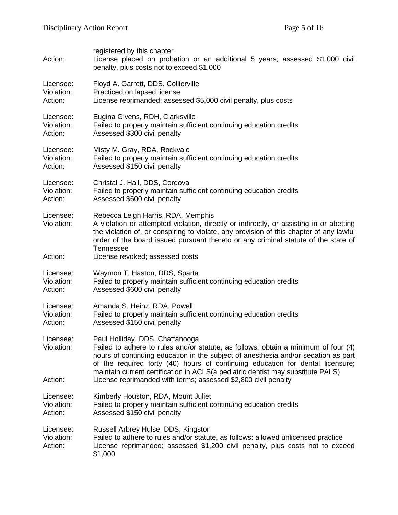| Action:                            | registered by this chapter<br>License placed on probation or an additional 5 years; assessed \$1,000 civil<br>penalty, plus costs not to exceed \$1,000                                                                                                                                                                                                                          |
|------------------------------------|----------------------------------------------------------------------------------------------------------------------------------------------------------------------------------------------------------------------------------------------------------------------------------------------------------------------------------------------------------------------------------|
| Licensee:                          | Floyd A. Garrett, DDS, Collierville                                                                                                                                                                                                                                                                                                                                              |
| Violation:                         | Practiced on lapsed license                                                                                                                                                                                                                                                                                                                                                      |
| Action:                            | License reprimanded; assessed \$5,000 civil penalty, plus costs                                                                                                                                                                                                                                                                                                                  |
| Licensee:                          | Eugina Givens, RDH, Clarksville                                                                                                                                                                                                                                                                                                                                                  |
| Violation:                         | Failed to properly maintain sufficient continuing education credits                                                                                                                                                                                                                                                                                                              |
| Action:                            | Assessed \$300 civil penalty                                                                                                                                                                                                                                                                                                                                                     |
| Licensee:                          | Misty M. Gray, RDA, Rockvale                                                                                                                                                                                                                                                                                                                                                     |
| Violation:                         | Failed to properly maintain sufficient continuing education credits                                                                                                                                                                                                                                                                                                              |
| Action:                            | Assessed \$150 civil penalty                                                                                                                                                                                                                                                                                                                                                     |
| Licensee:                          | Christal J. Hall, DDS, Cordova                                                                                                                                                                                                                                                                                                                                                   |
| Violation:                         | Failed to properly maintain sufficient continuing education credits                                                                                                                                                                                                                                                                                                              |
| Action:                            | Assessed \$600 civil penalty                                                                                                                                                                                                                                                                                                                                                     |
| Licensee:<br>Violation:<br>Action: | Rebecca Leigh Harris, RDA, Memphis<br>A violation or attempted violation, directly or indirectly, or assisting in or abetting<br>the violation of, or conspiring to violate, any provision of this chapter of any lawful<br>order of the board issued pursuant thereto or any criminal statute of the state of<br>Tennessee<br>License revoked; assessed costs                   |
| Licensee:                          | Waymon T. Haston, DDS, Sparta                                                                                                                                                                                                                                                                                                                                                    |
| Violation:                         | Failed to properly maintain sufficient continuing education credits                                                                                                                                                                                                                                                                                                              |
| Action:                            | Assessed \$600 civil penalty                                                                                                                                                                                                                                                                                                                                                     |
| Licensee:                          | Amanda S. Heinz, RDA, Powell                                                                                                                                                                                                                                                                                                                                                     |
| Violation:                         | Failed to properly maintain sufficient continuing education credits                                                                                                                                                                                                                                                                                                              |
| Action:                            | Assessed \$150 civil penalty                                                                                                                                                                                                                                                                                                                                                     |
| I icensee:<br>Violation:           | Paul Holliday, DDS, Chattanooga<br>Failed to adhere to rules and/or statute, as follows: obtain a minimum of four (4)<br>hours of continuing education in the subject of anesthesia and/or sedation as part<br>of the required forty (40) hours of continuing education for dental licensure;<br>maintain current certification in ACLS(a pediatric dentist may substitute PALS) |
| Action:                            | License reprimanded with terms; assessed \$2,800 civil penalty                                                                                                                                                                                                                                                                                                                   |
| Licensee:                          | Kimberly Houston, RDA, Mount Juliet                                                                                                                                                                                                                                                                                                                                              |
| Violation:                         | Failed to properly maintain sufficient continuing education credits                                                                                                                                                                                                                                                                                                              |
| Action:                            | Assessed \$150 civil penalty                                                                                                                                                                                                                                                                                                                                                     |
| Licensee:<br>Violation:<br>Action: | Russell Arbrey Hulse, DDS, Kingston<br>Failed to adhere to rules and/or statute, as follows: allowed unlicensed practice<br>License reprimanded; assessed \$1,200 civil penalty, plus costs not to exceed<br>\$1,000                                                                                                                                                             |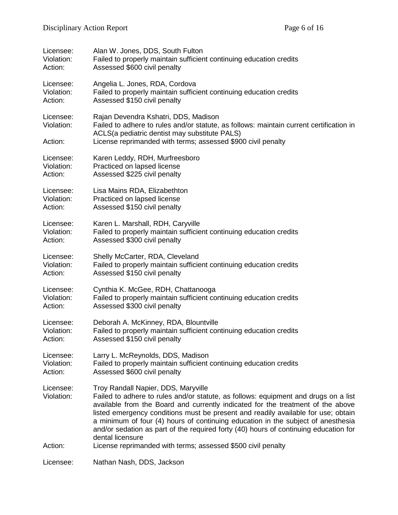| Licensee:                          | Alan W. Jones, DDS, South Fulton                                                                                                                                                                                                                                                                                                                                                                                                                                                                   |
|------------------------------------|----------------------------------------------------------------------------------------------------------------------------------------------------------------------------------------------------------------------------------------------------------------------------------------------------------------------------------------------------------------------------------------------------------------------------------------------------------------------------------------------------|
| Violation:                         | Failed to properly maintain sufficient continuing education credits                                                                                                                                                                                                                                                                                                                                                                                                                                |
| Action:                            | Assessed \$600 civil penalty                                                                                                                                                                                                                                                                                                                                                                                                                                                                       |
| Licensee:                          | Angelia L. Jones, RDA, Cordova                                                                                                                                                                                                                                                                                                                                                                                                                                                                     |
| Violation:                         | Failed to properly maintain sufficient continuing education credits                                                                                                                                                                                                                                                                                                                                                                                                                                |
| Action:                            | Assessed \$150 civil penalty                                                                                                                                                                                                                                                                                                                                                                                                                                                                       |
| Licensee:<br>Violation:<br>Action: | Rajan Devendra Kshatri, DDS, Madison<br>Failed to adhere to rules and/or statute, as follows: maintain current certification in<br>ACLS(a pediatric dentist may substitute PALS)<br>License reprimanded with terms; assessed \$900 civil penalty                                                                                                                                                                                                                                                   |
| Licensee:                          | Karen Leddy, RDH, Murfreesboro                                                                                                                                                                                                                                                                                                                                                                                                                                                                     |
| Violation:                         | Practiced on lapsed license                                                                                                                                                                                                                                                                                                                                                                                                                                                                        |
| Action:                            | Assessed \$225 civil penalty                                                                                                                                                                                                                                                                                                                                                                                                                                                                       |
| Licensee:                          | Lisa Mains RDA, Elizabethton                                                                                                                                                                                                                                                                                                                                                                                                                                                                       |
| Violation:                         | Practiced on lapsed license                                                                                                                                                                                                                                                                                                                                                                                                                                                                        |
| Action:                            | Assessed \$150 civil penalty                                                                                                                                                                                                                                                                                                                                                                                                                                                                       |
| Licensee:                          | Karen L. Marshall, RDH, Caryville                                                                                                                                                                                                                                                                                                                                                                                                                                                                  |
| Violation:                         | Failed to properly maintain sufficient continuing education credits                                                                                                                                                                                                                                                                                                                                                                                                                                |
| Action:                            | Assessed \$300 civil penalty                                                                                                                                                                                                                                                                                                                                                                                                                                                                       |
| Licensee:                          | Shelly McCarter, RDA, Cleveland                                                                                                                                                                                                                                                                                                                                                                                                                                                                    |
| Violation:                         | Failed to properly maintain sufficient continuing education credits                                                                                                                                                                                                                                                                                                                                                                                                                                |
| Action:                            | Assessed \$150 civil penalty                                                                                                                                                                                                                                                                                                                                                                                                                                                                       |
| Licensee:                          | Cynthia K. McGee, RDH, Chattanooga                                                                                                                                                                                                                                                                                                                                                                                                                                                                 |
| Violation:                         | Failed to properly maintain sufficient continuing education credits                                                                                                                                                                                                                                                                                                                                                                                                                                |
| Action:                            | Assessed \$300 civil penalty                                                                                                                                                                                                                                                                                                                                                                                                                                                                       |
| Licensee:                          | Deborah A. McKinney, RDA, Blountville                                                                                                                                                                                                                                                                                                                                                                                                                                                              |
| Violation:                         | Failed to properly maintain sufficient continuing education credits                                                                                                                                                                                                                                                                                                                                                                                                                                |
| Action:                            | Assessed \$150 civil penalty                                                                                                                                                                                                                                                                                                                                                                                                                                                                       |
| Licensee:                          | Larry L. McReynolds, DDS, Madison                                                                                                                                                                                                                                                                                                                                                                                                                                                                  |
| Violation:                         | Failed to properly maintain sufficient continuing education credits                                                                                                                                                                                                                                                                                                                                                                                                                                |
| Action:                            | Assessed \$600 civil penalty                                                                                                                                                                                                                                                                                                                                                                                                                                                                       |
| Licensee:<br>Violation:            | Troy Randall Napier, DDS, Maryville<br>Failed to adhere to rules and/or statute, as follows: equipment and drugs on a list<br>available from the Board and currently indicated for the treatment of the above<br>listed emergency conditions must be present and readily available for use; obtain<br>a minimum of four (4) hours of continuing education in the subject of anesthesia<br>and/or sedation as part of the required forty (40) hours of continuing education for<br>dental licensure |
| Action:                            | License reprimanded with terms; assessed \$500 civil penalty                                                                                                                                                                                                                                                                                                                                                                                                                                       |
| Licensee:                          | Nathan Nash, DDS, Jackson                                                                                                                                                                                                                                                                                                                                                                                                                                                                          |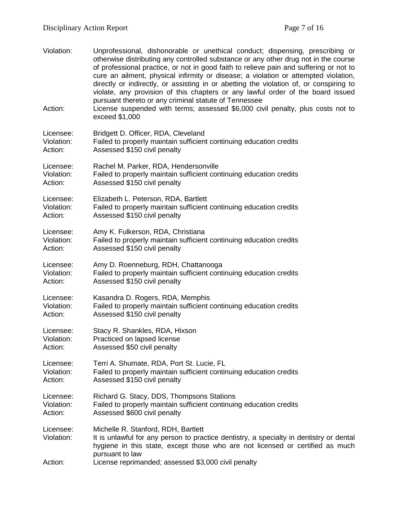| Violation:<br>Action:              | Unprofessional, dishonorable or unethical conduct; dispensing, prescribing or<br>otherwise distributing any controlled substance or any other drug not in the course<br>of professional practice, or not in good faith to relieve pain and suffering or not to<br>cure an ailment, physical infirmity or disease; a violation or attempted violation,<br>directly or indirectly, or assisting in or abetting the violation of, or conspiring to<br>violate, any provision of this chapters or any lawful order of the board issued<br>pursuant thereto or any criminal statute of Tennessee<br>License suspended with terms; assessed \$6,000 civil penalty, plus costs not to<br>exceed \$1,000 |
|------------------------------------|--------------------------------------------------------------------------------------------------------------------------------------------------------------------------------------------------------------------------------------------------------------------------------------------------------------------------------------------------------------------------------------------------------------------------------------------------------------------------------------------------------------------------------------------------------------------------------------------------------------------------------------------------------------------------------------------------|
| Licensee:                          | Bridgett D. Officer, RDA, Cleveland                                                                                                                                                                                                                                                                                                                                                                                                                                                                                                                                                                                                                                                              |
| Violation:                         | Failed to properly maintain sufficient continuing education credits                                                                                                                                                                                                                                                                                                                                                                                                                                                                                                                                                                                                                              |
| Action:                            | Assessed \$150 civil penalty                                                                                                                                                                                                                                                                                                                                                                                                                                                                                                                                                                                                                                                                     |
| Licensee:                          | Rachel M. Parker, RDA, Hendersonville                                                                                                                                                                                                                                                                                                                                                                                                                                                                                                                                                                                                                                                            |
| Violation:                         | Failed to properly maintain sufficient continuing education credits                                                                                                                                                                                                                                                                                                                                                                                                                                                                                                                                                                                                                              |
| Action:                            | Assessed \$150 civil penalty                                                                                                                                                                                                                                                                                                                                                                                                                                                                                                                                                                                                                                                                     |
| Licensee:                          | Elizabeth L. Peterson, RDA, Bartlett                                                                                                                                                                                                                                                                                                                                                                                                                                                                                                                                                                                                                                                             |
| Violation:                         | Failed to properly maintain sufficient continuing education credits                                                                                                                                                                                                                                                                                                                                                                                                                                                                                                                                                                                                                              |
| Action:                            | Assessed \$150 civil penalty                                                                                                                                                                                                                                                                                                                                                                                                                                                                                                                                                                                                                                                                     |
| Licensee:                          | Amy K. Fulkerson, RDA, Christiana                                                                                                                                                                                                                                                                                                                                                                                                                                                                                                                                                                                                                                                                |
| Violation:                         | Failed to properly maintain sufficient continuing education credits                                                                                                                                                                                                                                                                                                                                                                                                                                                                                                                                                                                                                              |
| Action:                            | Assessed \$150 civil penalty                                                                                                                                                                                                                                                                                                                                                                                                                                                                                                                                                                                                                                                                     |
| Licensee:                          | Amy D. Roenneburg, RDH, Chattanooga                                                                                                                                                                                                                                                                                                                                                                                                                                                                                                                                                                                                                                                              |
| Violation:                         | Failed to properly maintain sufficient continuing education credits                                                                                                                                                                                                                                                                                                                                                                                                                                                                                                                                                                                                                              |
| Action:                            | Assessed \$150 civil penalty                                                                                                                                                                                                                                                                                                                                                                                                                                                                                                                                                                                                                                                                     |
| Licensee:                          | Kasandra D. Rogers, RDA, Memphis                                                                                                                                                                                                                                                                                                                                                                                                                                                                                                                                                                                                                                                                 |
| Violation:                         | Failed to properly maintain sufficient continuing education credits                                                                                                                                                                                                                                                                                                                                                                                                                                                                                                                                                                                                                              |
| Action:                            | Assessed \$150 civil penalty                                                                                                                                                                                                                                                                                                                                                                                                                                                                                                                                                                                                                                                                     |
| Licensee:                          | Stacy R. Shankles, RDA, Hixson                                                                                                                                                                                                                                                                                                                                                                                                                                                                                                                                                                                                                                                                   |
| Violation:                         | Practiced on lapsed license                                                                                                                                                                                                                                                                                                                                                                                                                                                                                                                                                                                                                                                                      |
| Action:                            | Assessed \$50 civil penalty                                                                                                                                                                                                                                                                                                                                                                                                                                                                                                                                                                                                                                                                      |
| Licensee:                          | Terri A. Shumate, RDA, Port St. Lucie, FL                                                                                                                                                                                                                                                                                                                                                                                                                                                                                                                                                                                                                                                        |
| Violation:                         | Failed to properly maintain sufficient continuing education credits                                                                                                                                                                                                                                                                                                                                                                                                                                                                                                                                                                                                                              |
| Action:                            | Assessed \$150 civil penalty                                                                                                                                                                                                                                                                                                                                                                                                                                                                                                                                                                                                                                                                     |
| Licensee:                          | Richard G. Stacy, DDS, Thompsons Stations                                                                                                                                                                                                                                                                                                                                                                                                                                                                                                                                                                                                                                                        |
| Violation:                         | Failed to properly maintain sufficient continuing education credits                                                                                                                                                                                                                                                                                                                                                                                                                                                                                                                                                                                                                              |
| Action:                            | Assessed \$600 civil penalty                                                                                                                                                                                                                                                                                                                                                                                                                                                                                                                                                                                                                                                                     |
| Licensee:<br>Violation:<br>Action: | Michelle R. Stanford, RDH, Bartlett<br>It is unlawful for any person to practice dentistry, a specialty in dentistry or dental<br>hygiene in this state, except those who are not licensed or certified as much<br>pursuant to law<br>License reprimanded; assessed \$3,000 civil penalty                                                                                                                                                                                                                                                                                                                                                                                                        |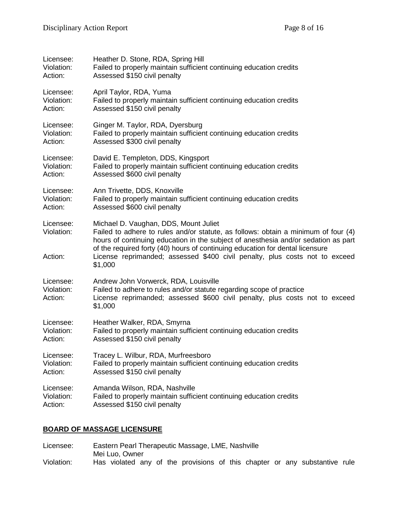| Licensee:                          | Heather D. Stone, RDA, Spring Hill                                                                                                                                                                                                                                                                                                                                                           |
|------------------------------------|----------------------------------------------------------------------------------------------------------------------------------------------------------------------------------------------------------------------------------------------------------------------------------------------------------------------------------------------------------------------------------------------|
| Violation:                         | Failed to properly maintain sufficient continuing education credits                                                                                                                                                                                                                                                                                                                          |
| Action:                            | Assessed \$150 civil penalty                                                                                                                                                                                                                                                                                                                                                                 |
| Licensee:                          | April Taylor, RDA, Yuma                                                                                                                                                                                                                                                                                                                                                                      |
| Violation:                         | Failed to properly maintain sufficient continuing education credits                                                                                                                                                                                                                                                                                                                          |
| Action:                            | Assessed \$150 civil penalty                                                                                                                                                                                                                                                                                                                                                                 |
| Licensee:                          | Ginger M. Taylor, RDA, Dyersburg                                                                                                                                                                                                                                                                                                                                                             |
| Violation:                         | Failed to properly maintain sufficient continuing education credits                                                                                                                                                                                                                                                                                                                          |
| Action:                            | Assessed \$300 civil penalty                                                                                                                                                                                                                                                                                                                                                                 |
| Licensee:                          | David E. Templeton, DDS, Kingsport                                                                                                                                                                                                                                                                                                                                                           |
| Violation:                         | Failed to properly maintain sufficient continuing education credits                                                                                                                                                                                                                                                                                                                          |
| Action:                            | Assessed \$600 civil penalty                                                                                                                                                                                                                                                                                                                                                                 |
| Licensee:                          | Ann Trivette, DDS, Knoxville                                                                                                                                                                                                                                                                                                                                                                 |
| Violation:                         | Failed to properly maintain sufficient continuing education credits                                                                                                                                                                                                                                                                                                                          |
| Action:                            | Assessed \$600 civil penalty                                                                                                                                                                                                                                                                                                                                                                 |
| Licensee:<br>Violation:<br>Action: | Michael D. Vaughan, DDS, Mount Juliet<br>Failed to adhere to rules and/or statute, as follows: obtain a minimum of four (4)<br>hours of continuing education in the subject of anesthesia and/or sedation as part<br>of the required forty (40) hours of continuing education for dental licensure<br>License reprimanded; assessed \$400 civil penalty, plus costs not to exceed<br>\$1,000 |
| Licensee:<br>Violation:<br>Action: | Andrew John Vorwerck, RDA, Louisville<br>Failed to adhere to rules and/or statute regarding scope of practice<br>License reprimanded; assessed \$600 civil penalty, plus costs not to exceed<br>\$1,000                                                                                                                                                                                      |
| Licensee:                          | Heather Walker, RDA, Smyrna                                                                                                                                                                                                                                                                                                                                                                  |
| Violation:                         | Failed to properly maintain sufficient continuing education credits                                                                                                                                                                                                                                                                                                                          |
| Action:                            | Assessed \$150 civil penalty                                                                                                                                                                                                                                                                                                                                                                 |
| Licensee:                          | Tracey L. Wilbur, RDA, Murfreesboro                                                                                                                                                                                                                                                                                                                                                          |
| Violation:                         | Failed to properly maintain sufficient continuing education credits                                                                                                                                                                                                                                                                                                                          |
| Action:                            | Assessed \$150 civil penalty                                                                                                                                                                                                                                                                                                                                                                 |
| Licensee:                          | Amanda Wilson, RDA, Nashville                                                                                                                                                                                                                                                                                                                                                                |
| Violation:                         | Failed to properly maintain sufficient continuing education credits                                                                                                                                                                                                                                                                                                                          |
| Action:                            | Assessed \$150 civil penalty                                                                                                                                                                                                                                                                                                                                                                 |

## **BOARD OF MASSAGE LICENSURE**

Licensee: Eastern Pearl Therapeutic Massage, LME, Nashville Mei Luo, Owner Violation: Has violated any of the provisions of this chapter or any substantive rule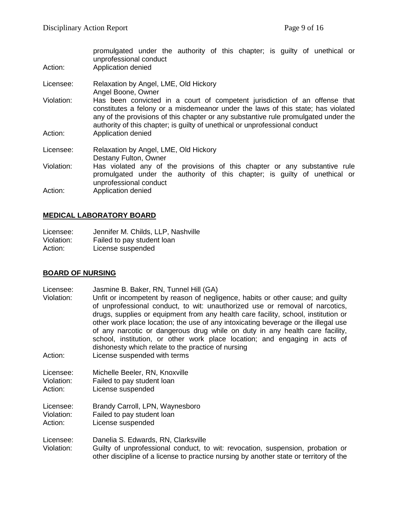promulgated under the authority of this chapter; is guilty of unethical or unprofessional conduct Action: Application denied

- 
- Licensee: Relaxation by Angel, LME, Old Hickory

Angel Boone, Owner

Violation: Has been convicted in a court of competent jurisdiction of an offense that constitutes a felony or a misdemeanor under the laws of this state; has violated any of the provisions of this chapter or any substantive rule promulgated under the authority of this chapter; is guilty of unethical or unprofessional conduct Action: Application denied

Licensee: Relaxation by Angel, LME, Old Hickory Destany Fulton, Owner

Violation: Has violated any of the provisions of this chapter or any substantive rule promulgated under the authority of this chapter; is guilty of unethical or unprofessional conduct Action: Application denied

#### **MEDICAL LABORATORY BOARD**

| Licensee:  | Jennifer M. Childs, LLP, Nashville |
|------------|------------------------------------|
| Violation: | Failed to pay student loan         |
| Action:    | License suspended                  |

#### **BOARD OF NURSING**

Licensee: Jasmine B. Baker, RN, Tunnel Hill (GA)

Violation: Unfit or incompetent by reason of negligence, habits or other cause; and guilty of unprofessional conduct, to wit: unauthorized use or removal of narcotics, drugs, supplies or equipment from any health care facility, school, institution or other work place location; the use of any intoxicating beverage or the illegal use of any narcotic or dangerous drug while on duty in any health care facility, school, institution, or other work place location; and engaging in acts of dishonesty which relate to the practice of nursing

Action: License suspended with terms

Licensee: Michelle Beeler, RN, Knoxville Violation: Failed to pay student loan

Action: License suspended

Licensee: Brandy Carroll, LPN, Waynesboro Violation: Failed to pay student loan Action: License suspended

#### Licensee: Danelia S. Edwards, RN, Clarksville Violation: Guilty of unprofessional conduct, to wit: revocation, suspension, probation or other discipline of a license to practice nursing by another state or territory of the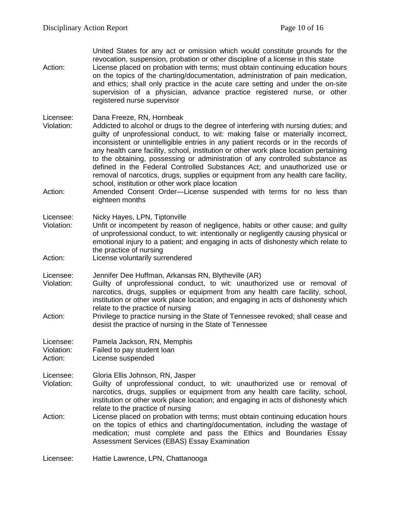United States for any act or omission which would constitute grounds for the revocation, suspension, probation or other discipline of a license in this state

Action: License placed on probation with terms; must obtain continuing education hours on the topics of the charting/documentation, administration of pain medication, and ethics; shall only practice in the acute care setting and under the on-site supervision of a physician, advance practice registered nurse, or other registered nurse supervisor

Licensee: Dana Freeze, RN, Hornbeak

- Violation: Addicted to alcohol or drugs to the degree of interfering with nursing duties; and guilty of unprofessional conduct, to wit: making false or materially incorrect, inconsistent or unintelligible entries in any patient records or in the records of any health care facility, school, institution or other work place location pertaining to the obtaining, possessing or administration of any controlled substance as defined in the Federal Controlled Substances Act; and unauthorized use or removal of narcotics, drugs, supplies or equipment from any health care facility, school, institution or other work place location
- Action: Amended Consent Order—License suspended with terms for no less than eighteen months

Licensee: Nicky Hayes, LPN, Tiptonville

- Violation: Unfit or incompetent by reason of negligence, habits or other cause; and guilty of unprofessional conduct, to wit: intentionally or negligently causing physical or emotional injury to a patient; and engaging in acts of dishonesty which relate to the practice of nursing
- Action: License voluntarily surrendered

Licensee: Jennifer Dee Huffman, Arkansas RN, Blytheville (AR)<br>Violation: Guilty of unprofessional conduct, to wit: unautho

- Guilty of unprofessional conduct, to wit: unauthorized use or removal of narcotics, drugs, supplies or equipment from any health care facility, school, institution or other work place location; and engaging in acts of dishonesty which relate to the practice of nursing
- Action: Privilege to practice nursing in the State of Tennessee revoked; shall cease and desist the practice of nursing in the State of Tennessee

Licensee: Pamela Jackson, RN, Memphis

- Violation: Failed to pay student loan
- Action: License suspended
- Licensee: Gloria Ellis Johnson, RN, Jasper
- Violation: Guilty of unprofessional conduct, to wit: unauthorized use or removal of narcotics, drugs, supplies or equipment from any health care facility, school, institution or other work place location; and engaging in acts of dishonesty which relate to the practice of nursing
- Action: License placed on probation with terms; must obtain continuing education hours on the topics of ethics and charting/documentation, including the wastage of medication; must complete and pass the Ethics and Boundaries Essay Assessment Services (EBAS) Essay Examination

Licensee: Hattie Lawrence, LPN, Chattanooga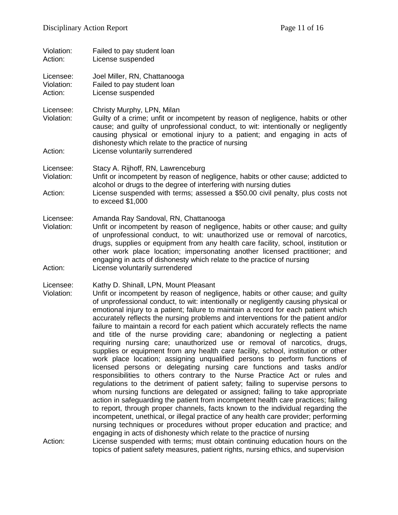| Violation:<br>Action:              | Failed to pay student loan<br>License suspended                                                                                                                                                                                                                                                                                                                                                                                                                                                                                                                                                                                                                                                                                                                                                                                                                                                                                                                                                                                                                                                                                                                                                                                                                                                                                                                                                                                                                                                                                                                 |  |
|------------------------------------|-----------------------------------------------------------------------------------------------------------------------------------------------------------------------------------------------------------------------------------------------------------------------------------------------------------------------------------------------------------------------------------------------------------------------------------------------------------------------------------------------------------------------------------------------------------------------------------------------------------------------------------------------------------------------------------------------------------------------------------------------------------------------------------------------------------------------------------------------------------------------------------------------------------------------------------------------------------------------------------------------------------------------------------------------------------------------------------------------------------------------------------------------------------------------------------------------------------------------------------------------------------------------------------------------------------------------------------------------------------------------------------------------------------------------------------------------------------------------------------------------------------------------------------------------------------------|--|
| Licensee:<br>Violation:<br>Action: | Joel Miller, RN, Chattanooga<br>Failed to pay student loan<br>License suspended                                                                                                                                                                                                                                                                                                                                                                                                                                                                                                                                                                                                                                                                                                                                                                                                                                                                                                                                                                                                                                                                                                                                                                                                                                                                                                                                                                                                                                                                                 |  |
| Licensee:<br>Violation:            | Christy Murphy, LPN, Milan<br>Guilty of a crime; unfit or incompetent by reason of negligence, habits or other<br>cause; and quilty of unprofessional conduct, to wit: intentionally or negligently<br>causing physical or emotional injury to a patient; and engaging in acts of<br>dishonesty which relate to the practice of nursing                                                                                                                                                                                                                                                                                                                                                                                                                                                                                                                                                                                                                                                                                                                                                                                                                                                                                                                                                                                                                                                                                                                                                                                                                         |  |
| Action:                            | License voluntarily surrendered                                                                                                                                                                                                                                                                                                                                                                                                                                                                                                                                                                                                                                                                                                                                                                                                                                                                                                                                                                                                                                                                                                                                                                                                                                                                                                                                                                                                                                                                                                                                 |  |
| Licensee:<br>Violation:            | Stacy A. Rijhoff, RN, Lawrenceburg<br>Unfit or incompetent by reason of negligence, habits or other cause; addicted to<br>alcohol or drugs to the degree of interfering with nursing duties                                                                                                                                                                                                                                                                                                                                                                                                                                                                                                                                                                                                                                                                                                                                                                                                                                                                                                                                                                                                                                                                                                                                                                                                                                                                                                                                                                     |  |
| Action:                            | License suspended with terms; assessed a \$50.00 civil penalty, plus costs not<br>to exceed \$1,000                                                                                                                                                                                                                                                                                                                                                                                                                                                                                                                                                                                                                                                                                                                                                                                                                                                                                                                                                                                                                                                                                                                                                                                                                                                                                                                                                                                                                                                             |  |
| Licensee:<br>Violation:<br>Action: | Amanda Ray Sandoval, RN, Chattanooga<br>Unfit or incompetent by reason of negligence, habits or other cause; and guilty<br>of unprofessional conduct, to wit: unauthorized use or removal of narcotics,<br>drugs, supplies or equipment from any health care facility, school, institution or<br>other work place location; impersonating another licensed practitioner; and<br>engaging in acts of dishonesty which relate to the practice of nursing<br>License voluntarily surrendered                                                                                                                                                                                                                                                                                                                                                                                                                                                                                                                                                                                                                                                                                                                                                                                                                                                                                                                                                                                                                                                                       |  |
|                                    |                                                                                                                                                                                                                                                                                                                                                                                                                                                                                                                                                                                                                                                                                                                                                                                                                                                                                                                                                                                                                                                                                                                                                                                                                                                                                                                                                                                                                                                                                                                                                                 |  |
| Licensee:<br>Violation:            | Kathy D. Shinall, LPN, Mount Pleasant<br>Unfit or incompetent by reason of negligence, habits or other cause; and guilty<br>of unprofessional conduct, to wit: intentionally or negligently causing physical or<br>emotional injury to a patient; failure to maintain a record for each patient which<br>accurately reflects the nursing problems and interventions for the patient and/or<br>failure to maintain a record for each patient which accurately reflects the name<br>and title of the nurse providing care; abandoning or neglecting a patient<br>requiring nursing care; unauthorized use or removal of narcotics, drugs,<br>supplies or equipment from any health care facility, school, institution or other<br>work place location; assigning unqualified persons to perform functions of<br>licensed persons or delegating nursing care functions and tasks and/or<br>responsibilities to others contrary to the Nurse Practice Act or rules and<br>regulations to the detriment of patient safety; failing to supervise persons to<br>whom nursing functions are delegated or assigned; failing to take appropriate<br>action in safeguarding the patient from incompetent health care practices; failing<br>to report, through proper channels, facts known to the individual regarding the<br>incompetent, unethical, or illegal practice of any health care provider; performing<br>nursing techniques or procedures without proper education and practice; and<br>engaging in acts of dishonesty which relate to the practice of nursing |  |
| Action:                            | License suspended with terms; must obtain continuing education hours on the<br>topics of patient safety measures, patient rights, nursing ethics, and supervision                                                                                                                                                                                                                                                                                                                                                                                                                                                                                                                                                                                                                                                                                                                                                                                                                                                                                                                                                                                                                                                                                                                                                                                                                                                                                                                                                                                               |  |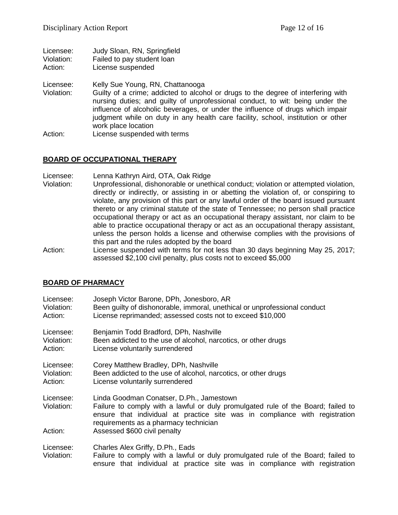Licensee: Judy Sloan, RN, Springfield<br>Violation: Failed to pay student loan Failed to pay student loan

Action: License suspended

Licensee: Kelly Sue Young, RN, Chattanooga

Violation: Guilty of a crime; addicted to alcohol or drugs to the degree of interfering with nursing duties; and guilty of unprofessional conduct, to wit: being under the influence of alcoholic beverages, or under the influence of drugs which impair judgment while on duty in any health care facility, school, institution or other work place location

Action: License suspended with terms

### **BOARD OF OCCUPATIONAL THERAPY**

Licensee: Lenna Kathryn Aird, OTA, Oak Ridge

- Violation: Unprofessional, dishonorable or unethical conduct; violation or attempted violation, directly or indirectly, or assisting in or abetting the violation of, or conspiring to violate, any provision of this part or any lawful order of the board issued pursuant thereto or any criminal statute of the state of Tennessee; no person shall practice occupational therapy or act as an occupational therapy assistant, nor claim to be able to practice occupational therapy or act as an occupational therapy assistant, unless the person holds a license and otherwise complies with the provisions of this part and the rules adopted by the board
- Action: License suspended with terms for not less than 30 days beginning May 25, 2017; assessed \$2,100 civil penalty, plus costs not to exceed \$5,000

#### **BOARD OF PHARMACY**

| Licensee:                          | Joseph Victor Barone, DPh, Jonesboro, AR                                                                                                                                                                                                                                             |
|------------------------------------|--------------------------------------------------------------------------------------------------------------------------------------------------------------------------------------------------------------------------------------------------------------------------------------|
| Violation:                         | Been guilty of dishonorable, immoral, unethical or unprofessional conduct                                                                                                                                                                                                            |
| Action:                            | License reprimanded; assessed costs not to exceed \$10,000                                                                                                                                                                                                                           |
| Licensee:                          | Benjamin Todd Bradford, DPh, Nashville                                                                                                                                                                                                                                               |
| Violation:                         | Been addicted to the use of alcohol, narcotics, or other drugs                                                                                                                                                                                                                       |
| Action:                            | License voluntarily surrendered                                                                                                                                                                                                                                                      |
| Licensee:                          | Corey Matthew Bradley, DPh, Nashville                                                                                                                                                                                                                                                |
| Violation:                         | Been addicted to the use of alcohol, narcotics, or other drugs                                                                                                                                                                                                                       |
| Action:                            | License voluntarily surrendered                                                                                                                                                                                                                                                      |
| Licensee:<br>Violation:<br>Action: | Linda Goodman Conatser, D.Ph., Jamestown<br>Failure to comply with a lawful or duly promulgated rule of the Board; failed to<br>ensure that individual at practice site was in compliance with registration<br>requirements as a pharmacy technician<br>Assessed \$600 civil penalty |
| Licensee:<br>Violation:            | Charles Alex Griffy, D.Ph., Eads<br>Failure to comply with a lawful or duly promulgated rule of the Board; failed to<br>ensure that individual at practice site was in compliance with registration                                                                                  |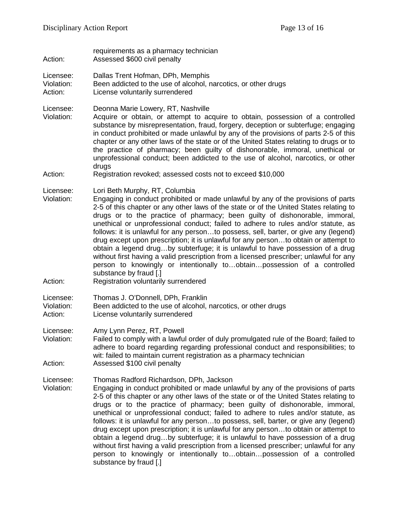| Action:                            | requirements as a pharmacy technician<br>Assessed \$600 civil penalty                                                                                                                                                                                                                                                                                                                                                                                                                                                                                                                                                                                                                                                                                                                                                                                      |
|------------------------------------|------------------------------------------------------------------------------------------------------------------------------------------------------------------------------------------------------------------------------------------------------------------------------------------------------------------------------------------------------------------------------------------------------------------------------------------------------------------------------------------------------------------------------------------------------------------------------------------------------------------------------------------------------------------------------------------------------------------------------------------------------------------------------------------------------------------------------------------------------------|
| Licensee:<br>Violation:<br>Action: | Dallas Trent Hofman, DPh, Memphis<br>Been addicted to the use of alcohol, narcotics, or other drugs<br>License voluntarily surrendered                                                                                                                                                                                                                                                                                                                                                                                                                                                                                                                                                                                                                                                                                                                     |
| Licensee:<br>Violation:            | Deonna Marie Lowery, RT, Nashville<br>Acquire or obtain, or attempt to acquire to obtain, possession of a controlled<br>substance by misrepresentation, fraud, forgery, deception or subterfuge; engaging<br>in conduct prohibited or made unlawful by any of the provisions of parts 2-5 of this<br>chapter or any other laws of the state or of the United States relating to drugs or to<br>the practice of pharmacy; been guilty of dishonorable, immoral, unethical or<br>unprofessional conduct; been addicted to the use of alcohol, narcotics, or other<br>drugs                                                                                                                                                                                                                                                                                   |
| Action:                            | Registration revoked; assessed costs not to exceed \$10,000                                                                                                                                                                                                                                                                                                                                                                                                                                                                                                                                                                                                                                                                                                                                                                                                |
| Licensee:<br>Violation:            | Lori Beth Murphy, RT, Columbia<br>Engaging in conduct prohibited or made unlawful by any of the provisions of parts<br>2-5 of this chapter or any other laws of the state or of the United States relating to<br>drugs or to the practice of pharmacy; been guilty of dishonorable, immoral,<br>unethical or unprofessional conduct; failed to adhere to rules and/or statute, as<br>follows: it is unlawful for any personto possess, sell, barter, or give any (legend)<br>drug except upon prescription; it is unlawful for any personto obtain or attempt to<br>obtain a legend drugby subterfuge; it is unlawful to have possession of a drug<br>without first having a valid prescription from a licensed prescriber; unlawful for any<br>person to knowingly or intentionally toobtainpossession of a controlled<br>substance by fraud [.]          |
| Action:                            | Registration voluntarily surrendered                                                                                                                                                                                                                                                                                                                                                                                                                                                                                                                                                                                                                                                                                                                                                                                                                       |
| Licensee:<br>Violation:<br>Action: | Thomas J. O'Donnell, DPh, Franklin<br>Been addicted to the use of alcohol, narcotics, or other drugs<br>License voluntarily surrendered                                                                                                                                                                                                                                                                                                                                                                                                                                                                                                                                                                                                                                                                                                                    |
| Licensee:<br>Violation:<br>Action: | Amy Lynn Perez, RT, Powell<br>Failed to comply with a lawful order of duly promulgated rule of the Board; failed to<br>adhere to board regarding regarding professional conduct and responsibilities; to<br>wit: failed to maintain current registration as a pharmacy technician<br>Assessed \$100 civil penalty                                                                                                                                                                                                                                                                                                                                                                                                                                                                                                                                          |
| Licensee:<br>Violation:            | Thomas Radford Richardson, DPh, Jackson<br>Engaging in conduct prohibited or made unlawful by any of the provisions of parts<br>2-5 of this chapter or any other laws of the state or of the United States relating to<br>drugs or to the practice of pharmacy; been guilty of dishonorable, immoral,<br>unethical or unprofessional conduct; failed to adhere to rules and/or statute, as<br>follows: it is unlawful for any personto possess, sell, barter, or give any (legend)<br>drug except upon prescription; it is unlawful for any personto obtain or attempt to<br>obtain a legend drugby subterfuge; it is unlawful to have possession of a drug<br>without first having a valid prescription from a licensed prescriber; unlawful for any<br>person to knowingly or intentionally toobtainpossession of a controlled<br>substance by fraud [.] |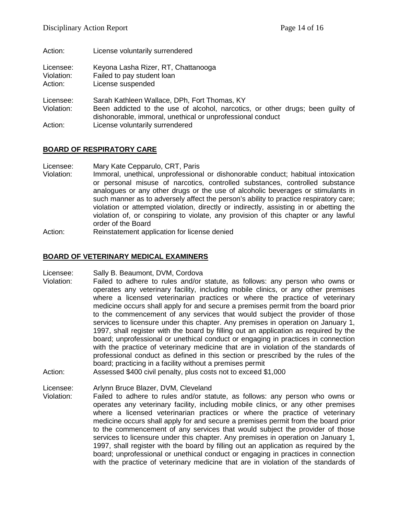| Action:                            | License voluntarily surrendered                                                                                                                                                                                                 |
|------------------------------------|---------------------------------------------------------------------------------------------------------------------------------------------------------------------------------------------------------------------------------|
| Licensee:<br>Violation:<br>Action: | Keyona Lasha Rizer, RT, Chattanooga<br>Failed to pay student loan<br>License suspended                                                                                                                                          |
| Licensee:<br>Violation:<br>Action: | Sarah Kathleen Wallace, DPh, Fort Thomas, KY<br>Been addicted to the use of alcohol, narcotics, or other drugs; been guilty of<br>dishonorable, immoral, unethical or unprofessional conduct<br>License voluntarily surrendered |

### **BOARD OF RESPIRATORY CARE**

Licensee: Mary Kate Cepparulo, CRT, Paris

- Violation: Immoral, unethical, unprofessional or dishonorable conduct; habitual intoxication or personal misuse of narcotics, controlled substances, controlled substance analogues or any other drugs or the use of alcoholic beverages or stimulants in such manner as to adversely affect the person's ability to practice respiratory care; violation or attempted violation, directly or indirectly, assisting in or abetting the violation of, or conspiring to violate, any provision of this chapter or any lawful order of the Board
- Action: Reinstatement application for license denied

#### **BOARD OF VETERINARY MEDICAL EXAMINERS**

Licensee: Sally B. Beaumont, DVM, Cordova

- Violation: Failed to adhere to rules and/or statute, as follows: any person who owns or operates any veterinary facility, including mobile clinics, or any other premises where a licensed veterinarian practices or where the practice of veterinary medicine occurs shall apply for and secure a premises permit from the board prior to the commencement of any services that would subject the provider of those services to licensure under this chapter. Any premises in operation on January 1, 1997, shall register with the board by filling out an application as required by the board; unprofessional or unethical conduct or engaging in practices in connection with the practice of veterinary medicine that are in violation of the standards of professional conduct as defined in this section or prescribed by the rules of the board; practicing in a facility without a premises permit
- Action: Assessed \$400 civil penalty, plus costs not to exceed \$1,000

Licensee: Arlynn Bruce Blazer, DVM, Cleveland

Violation: Failed to adhere to rules and/or statute, as follows: any person who owns or operates any veterinary facility, including mobile clinics, or any other premises where a licensed veterinarian practices or where the practice of veterinary medicine occurs shall apply for and secure a premises permit from the board prior to the commencement of any services that would subject the provider of those services to licensure under this chapter. Any premises in operation on January 1, 1997, shall register with the board by filling out an application as required by the board; unprofessional or unethical conduct or engaging in practices in connection with the practice of veterinary medicine that are in violation of the standards of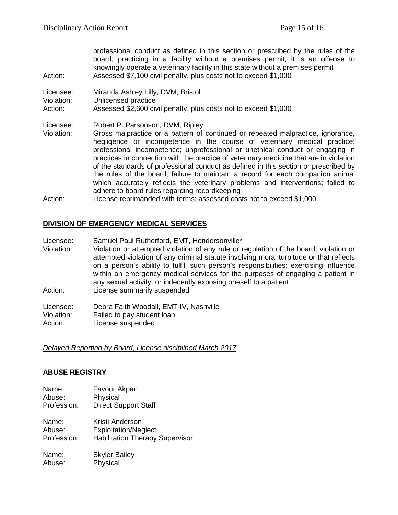professional conduct as defined in this section or prescribed by the rules of the board; practicing in a facility without a premises permit; it is an offense to knowingly operate a veterinary facility in this state without a premises permit Action: Assessed \$7,100 civil penalty, plus costs not to exceed \$1,000 Licensee: Miranda Ashley Lilly, DVM, Bristol Violation: Unlicensed practice Action: Assessed \$2,600 civil penalty, plus costs not to exceed \$1,000 Licensee: Robert P. Parsonson, DVM, Ripley Violation: Gross malpractice or a pattern of continued or repeated malpractice, ignorance, negligence or incompetence in the course of veterinary medical practice; professional incompetence; unprofessional or unethical conduct or engaging in practices in connection with the practice of veterinary medicine that are in violation of the standards of professional conduct as defined in this section or prescribed by the rules of the board; failure to maintain a record for each companion animal which accurately reflects the veterinary problems and interventions; failed to adhere to board rules regarding recordkeeping

Action: License reprimanded with terms; assessed costs not to exceed \$1,000

#### **DIVISION OF EMERGENCY MEDICAL SERVICES**

- Licensee: Samuel Paul Rutherford, EMT, Hendersonville\*
- Violation: Violation or attempted violation of any rule or regulation of the board; violation or attempted violation of any criminal statute involving moral turpitude or that reflects on a person's ability to fulfill such person's responsibilities; exercising influence within an emergency medical services for the purposes of engaging a patient in any sexual activity, or indecently exposing oneself to a patient Action: License summarily suspended

Licensee: Debra Faith Woodall, EMT-IV, Nashville Violation: Failed to pay student loan Action: License suspended

*Delayed Reporting by Board, License disciplined March 2017*

#### **ABUSE REGISTRY**

Name: Favour Akpan Abuse: Physical<br>Profession: Direct Su **Direct Support Staff** 

Name: Kristi Anderson Abuse: Exploitation/Neglect Profession: Habilitation Therapy Supervisor

Name: Skyler Bailey Abuse: Physical